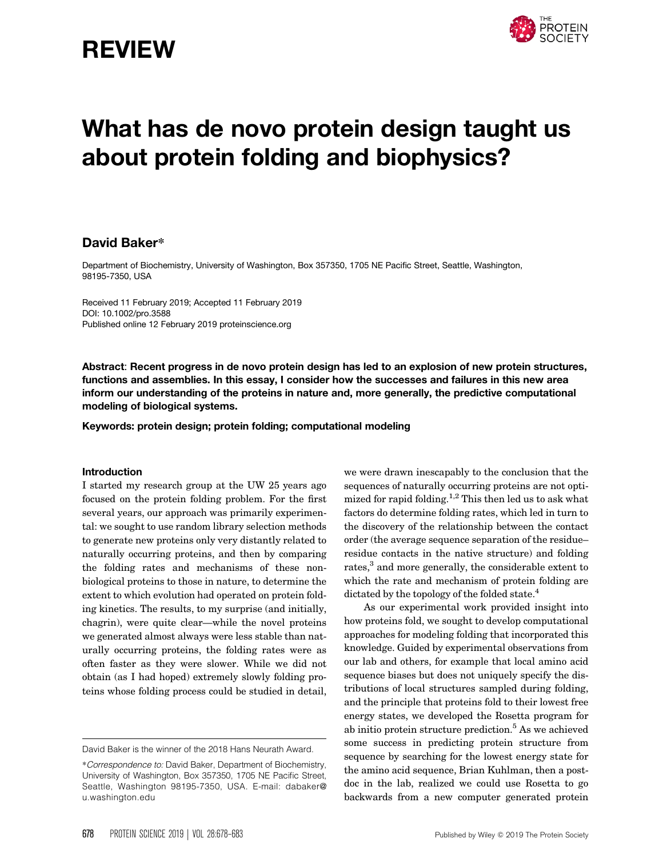# REVIEW



# What has de novo protein design taught us about protein folding and biophysics?

# David Baker\*

Department of Biochemistry, University of Washington, Box 357350, 1705 NE Pacific Street, Seattle, Washington, 98195-7350, USA

Received 11 February 2019; Accepted 11 February 2019 DOI: 10.1002/pro.3588 Published online 12 February 2019 proteinscience.org

Abstract: Recent progress in de novo protein design has led to an explosion of new protein structures, functions and assemblies. In this essay, I consider how the successes and failures in this new area inform our understanding of the proteins in nature and, more generally, the predictive computational modeling of biological systems.

Keywords: protein design; protein folding; computational modeling

# Introduction

I started my research group at the UW 25 years ago focused on the protein folding problem. For the first several years, our approach was primarily experimental: we sought to use random library selection methods to generate new proteins only very distantly related to naturally occurring proteins, and then by comparing the folding rates and mechanisms of these nonbiological proteins to those in nature, to determine the extent to which evolution had operated on protein folding kinetics. The results, to my surprise (and initially, chagrin), were quite clear—while the novel proteins we generated almost always were less stable than naturally occurring proteins, the folding rates were as often faster as they were slower. While we did not obtain (as I had hoped) extremely slowly folding proteins whose folding process could be studied in detail,

we were drawn inescapably to the conclusion that the sequences of naturally occurring proteins are not optimized for rapid folding.<sup>1,2</sup> This then led us to ask what factors do determine folding rates, which led in turn to the discovery of the relationship between the contact order (the average sequence separation of the residue– residue contacts in the native structure) and folding rates,<sup>3</sup> and more generally, the considerable extent to which the rate and mechanism of protein folding are dictated by the topology of the folded state.<sup>4</sup>

As our experimental work provided insight into how proteins fold, we sought to develop computational approaches for modeling folding that incorporated this knowledge. Guided by experimental observations from our lab and others, for example that local amino acid sequence biases but does not uniquely specify the distributions of local structures sampled during folding, and the principle that proteins fold to their lowest free energy states, we developed the Rosetta program for ab initio protein structure prediction.<sup>5</sup> As we achieved some success in predicting protein structure from sequence by searching for the lowest energy state for the amino acid sequence, Brian Kuhlman, then a postdoc in the lab, realized we could use Rosetta to go backwards from a new computer generated protein

David Baker is the winner of the 2018 Hans Neurath Award.

<sup>\*</sup>Correspondence to: David Baker, Department of Biochemistry, University of Washington, Box 357350, 1705 NE Pacific Street, Seattle, Washington 98195-7350, USA. E-mail: [dabaker@](mailto:dabaker@u.washington.edu) [u.washington.edu](mailto:dabaker@u.washington.edu)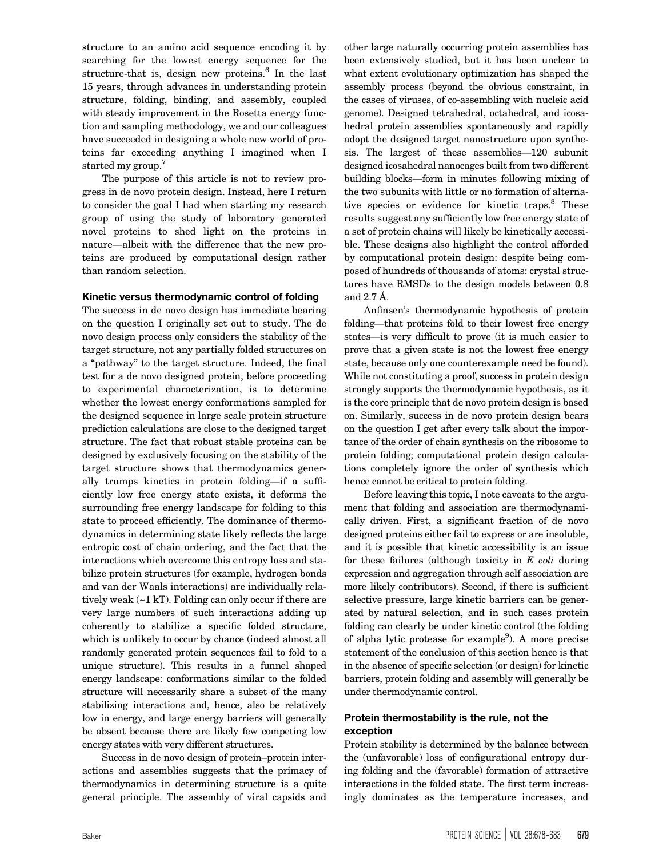structure to an amino acid sequence encoding it by searching for the lowest energy sequence for the structure-that is, design new proteins.<sup>6</sup> In the last 15 years, through advances in understanding protein structure, folding, binding, and assembly, coupled with steady improvement in the Rosetta energy function and sampling methodology, we and our colleagues have succeeded in designing a whole new world of proteins far exceeding anything I imagined when I started my group.<sup>7</sup>

The purpose of this article is not to review progress in de novo protein design. Instead, here I return to consider the goal I had when starting my research group of using the study of laboratory generated novel proteins to shed light on the proteins in nature—albeit with the difference that the new proteins are produced by computational design rather than random selection.

### Kinetic versus thermodynamic control of folding

The success in de novo design has immediate bearing on the question I originally set out to study. The de novo design process only considers the stability of the target structure, not any partially folded structures on a "pathway" to the target structure. Indeed, the final test for a de novo designed protein, before proceeding to experimental characterization, is to determine whether the lowest energy conformations sampled for the designed sequence in large scale protein structure prediction calculations are close to the designed target structure. The fact that robust stable proteins can be designed by exclusively focusing on the stability of the target structure shows that thermodynamics generally trumps kinetics in protein folding—if a sufficiently low free energy state exists, it deforms the surrounding free energy landscape for folding to this state to proceed efficiently. The dominance of thermodynamics in determining state likely reflects the large entropic cost of chain ordering, and the fact that the interactions which overcome this entropy loss and stabilize protein structures (for example, hydrogen bonds and van der Waals interactions) are individually relatively weak (~1 kT). Folding can only occur if there are very large numbers of such interactions adding up coherently to stabilize a specific folded structure, which is unlikely to occur by chance (indeed almost all randomly generated protein sequences fail to fold to a unique structure). This results in a funnel shaped energy landscape: conformations similar to the folded structure will necessarily share a subset of the many stabilizing interactions and, hence, also be relatively low in energy, and large energy barriers will generally be absent because there are likely few competing low energy states with very different structures.

Success in de novo design of protein–protein interactions and assemblies suggests that the primacy of thermodynamics in determining structure is a quite general principle. The assembly of viral capsids and

other large naturally occurring protein assemblies has been extensively studied, but it has been unclear to what extent evolutionary optimization has shaped the assembly process (beyond the obvious constraint, in the cases of viruses, of co-assembling with nucleic acid genome). Designed tetrahedral, octahedral, and icosahedral protein assemblies spontaneously and rapidly adopt the designed target nanostructure upon synthesis. The largest of these assemblies—120 subunit designed icosahedral nanocages built from two different building blocks—form in minutes following mixing of the two subunits with little or no formation of alternative species or evidence for kinetic traps.<sup>8</sup> These results suggest any sufficiently low free energy state of a set of protein chains will likely be kinetically accessible. These designs also highlight the control afforded by computational protein design: despite being composed of hundreds of thousands of atoms: crystal structures have RMSDs to the design models between 0.8 and 2.7 Å.

Anfinsen's thermodynamic hypothesis of protein folding—that proteins fold to their lowest free energy states—is very difficult to prove (it is much easier to prove that a given state is not the lowest free energy state, because only one counterexample need be found). While not constituting a proof, success in protein design strongly supports the thermodynamic hypothesis, as it is the core principle that de novo protein design is based on. Similarly, success in de novo protein design bears on the question I get after every talk about the importance of the order of chain synthesis on the ribosome to protein folding; computational protein design calculations completely ignore the order of synthesis which hence cannot be critical to protein folding.

Before leaving this topic, I note caveats to the argument that folding and association are thermodynamically driven. First, a significant fraction of de novo designed proteins either fail to express or are insoluble, and it is possible that kinetic accessibility is an issue for these failures (although toxicity in  $E$  coli during expression and aggregation through self association are more likely contributors). Second, if there is sufficient selective pressure, large kinetic barriers can be generated by natural selection, and in such cases protein folding can clearly be under kinetic control (the folding of alpha lytic protease for example<sup>9</sup>). A more precise statement of the conclusion of this section hence is that in the absence of specific selection (or design) for kinetic barriers, protein folding and assembly will generally be under thermodynamic control.

# Protein thermostability is the rule, not the exception

Protein stability is determined by the balance between the (unfavorable) loss of configurational entropy during folding and the (favorable) formation of attractive interactions in the folded state. The first term increasingly dominates as the temperature increases, and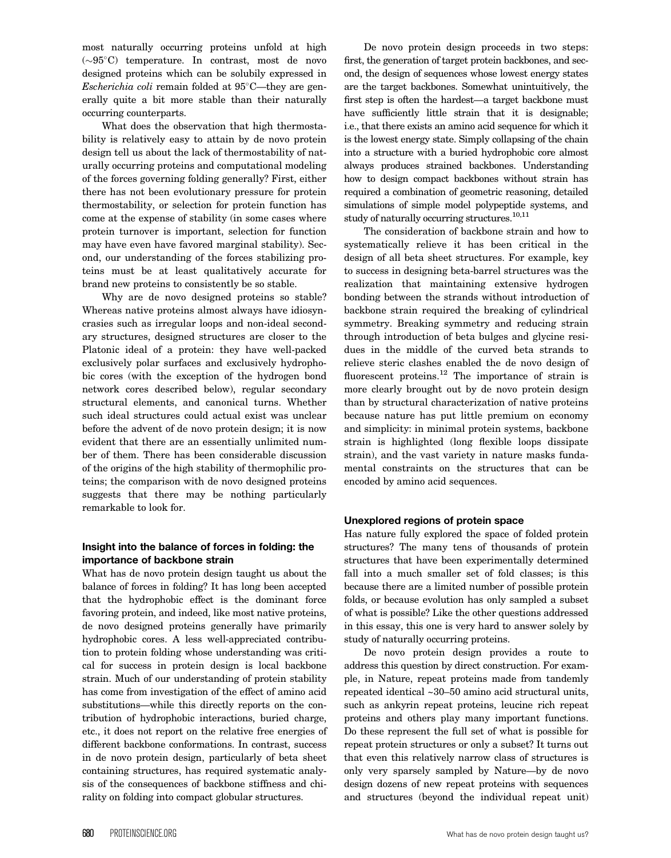most naturally occurring proteins unfold at high  $(\sim 95^{\circ}C)$  temperature. In contrast, most de novo designed proteins which can be solubily expressed in Escherichia coli remain folded at  $95^{\circ}$ C—they are generally quite a bit more stable than their naturally occurring counterparts.

What does the observation that high thermostability is relatively easy to attain by de novo protein design tell us about the lack of thermostability of naturally occurring proteins and computational modeling of the forces governing folding generally? First, either there has not been evolutionary pressure for protein thermostability, or selection for protein function has come at the expense of stability (in some cases where protein turnover is important, selection for function may have even have favored marginal stability). Second, our understanding of the forces stabilizing proteins must be at least qualitatively accurate for brand new proteins to consistently be so stable.

Why are de novo designed proteins so stable? Whereas native proteins almost always have idiosyncrasies such as irregular loops and non-ideal secondary structures, designed structures are closer to the Platonic ideal of a protein: they have well-packed exclusively polar surfaces and exclusively hydrophobic cores (with the exception of the hydrogen bond network cores described below), regular secondary structural elements, and canonical turns. Whether such ideal structures could actual exist was unclear before the advent of de novo protein design; it is now evident that there are an essentially unlimited number of them. There has been considerable discussion of the origins of the high stability of thermophilic proteins; the comparison with de novo designed proteins suggests that there may be nothing particularly remarkable to look for.

# Insight into the balance of forces in folding: the importance of backbone strain

What has de novo protein design taught us about the balance of forces in folding? It has long been accepted that the hydrophobic effect is the dominant force favoring protein, and indeed, like most native proteins, de novo designed proteins generally have primarily hydrophobic cores. A less well-appreciated contribution to protein folding whose understanding was critical for success in protein design is local backbone strain. Much of our understanding of protein stability has come from investigation of the effect of amino acid substitutions—while this directly reports on the contribution of hydrophobic interactions, buried charge, etc., it does not report on the relative free energies of different backbone conformations. In contrast, success in de novo protein design, particularly of beta sheet containing structures, has required systematic analysis of the consequences of backbone stiffness and chirality on folding into compact globular structures.

De novo protein design proceeds in two steps: first, the generation of target protein backbones, and second, the design of sequences whose lowest energy states are the target backbones. Somewhat unintuitively, the first step is often the hardest—a target backbone must have sufficiently little strain that it is designable; i.e., that there exists an amino acid sequence for which it is the lowest energy state. Simply collapsing of the chain into a structure with a buried hydrophobic core almost always produces strained backbones. Understanding how to design compact backbones without strain has required a combination of geometric reasoning, detailed simulations of simple model polypeptide systems, and study of naturally occurring structures.<sup>10,11</sup>

The consideration of backbone strain and how to systematically relieve it has been critical in the design of all beta sheet structures. For example, key to success in designing beta-barrel structures was the realization that maintaining extensive hydrogen bonding between the strands without introduction of backbone strain required the breaking of cylindrical symmetry. Breaking symmetry and reducing strain through introduction of beta bulges and glycine residues in the middle of the curved beta strands to relieve steric clashes enabled the de novo design of fluorescent proteins.<sup>12</sup> The importance of strain is more clearly brought out by de novo protein design than by structural characterization of native proteins because nature has put little premium on economy and simplicity: in minimal protein systems, backbone strain is highlighted (long flexible loops dissipate strain), and the vast variety in nature masks fundamental constraints on the structures that can be encoded by amino acid sequences.

#### Unexplored regions of protein space

Has nature fully explored the space of folded protein structures? The many tens of thousands of protein structures that have been experimentally determined fall into a much smaller set of fold classes; is this because there are a limited number of possible protein folds, or because evolution has only sampled a subset of what is possible? Like the other questions addressed in this essay, this one is very hard to answer solely by study of naturally occurring proteins.

De novo protein design provides a route to address this question by direct construction. For example, in Nature, repeat proteins made from tandemly repeated identical ~30–50 amino acid structural units, such as ankyrin repeat proteins, leucine rich repeat proteins and others play many important functions. Do these represent the full set of what is possible for repeat protein structures or only a subset? It turns out that even this relatively narrow class of structures is only very sparsely sampled by Nature—by de novo design dozens of new repeat proteins with sequences and structures (beyond the individual repeat unit)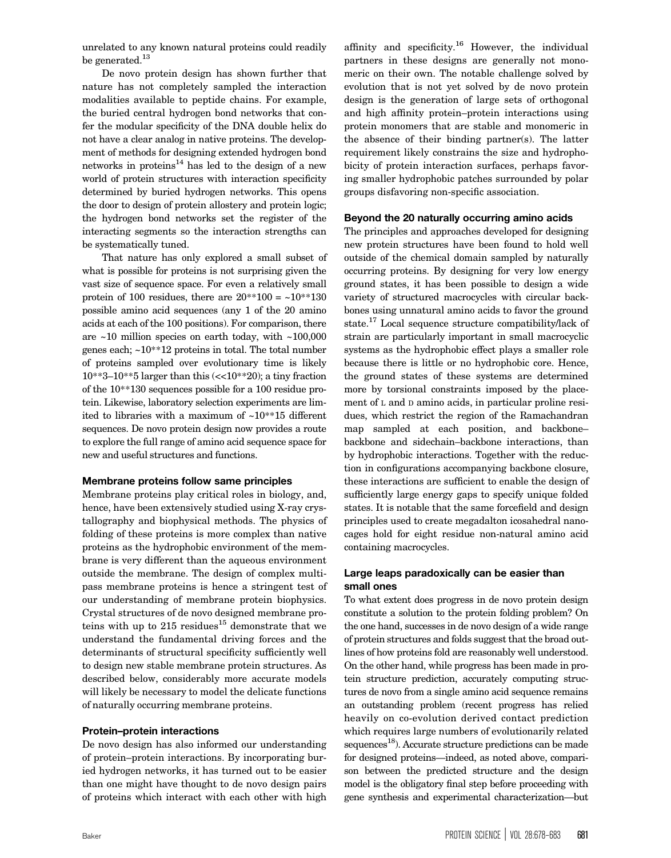unrelated to any known natural proteins could readily be generated.<sup>13</sup>

De novo protein design has shown further that nature has not completely sampled the interaction modalities available to peptide chains. For example, the buried central hydrogen bond networks that confer the modular specificity of the DNA double helix do not have a clear analog in native proteins. The development of methods for designing extended hydrogen bond networks in proteins<sup>14</sup> has led to the design of a new world of protein structures with interaction specificity determined by buried hydrogen networks. This opens the door to design of protein allostery and protein logic; the hydrogen bond networks set the register of the interacting segments so the interaction strengths can be systematically tuned.

That nature has only explored a small subset of what is possible for proteins is not surprising given the vast size of sequence space. For even a relatively small protein of 100 residues, there are  $20^{**}100 = -10^{**}130$ possible amino acid sequences (any 1 of the 20 amino acids at each of the 100 positions). For comparison, there are  $~10$  million species on earth today, with  $~100,000$ genes each; ~10\*\*12 proteins in total. The total number of proteins sampled over evolutionary time is likely  $10^{**}3-10^{**}5$  larger than this  $\leftlt\lt10^{**}20\right)$ ; a tiny fraction of the 10\*\*130 sequences possible for a 100 residue protein. Likewise, laboratory selection experiments are limited to libraries with a maximum of ~10\*\*15 different sequences. De novo protein design now provides a route to explore the full range of amino acid sequence space for new and useful structures and functions.

## Membrane proteins follow same principles

Membrane proteins play critical roles in biology, and, hence, have been extensively studied using X-ray crystallography and biophysical methods. The physics of folding of these proteins is more complex than native proteins as the hydrophobic environment of the membrane is very different than the aqueous environment outside the membrane. The design of complex multipass membrane proteins is hence a stringent test of our understanding of membrane protein biophysics. Crystal structures of de novo designed membrane proteins with up to  $215$  residues<sup>15</sup> demonstrate that we understand the fundamental driving forces and the determinants of structural specificity sufficiently well to design new stable membrane protein structures. As described below, considerably more accurate models will likely be necessary to model the delicate functions of naturally occurring membrane proteins.

#### Protein–protein interactions

De novo design has also informed our understanding of protein–protein interactions. By incorporating buried hydrogen networks, it has turned out to be easier than one might have thought to de novo design pairs of proteins which interact with each other with high

affinity and specificity.<sup>16</sup> However, the individual partners in these designs are generally not monomeric on their own. The notable challenge solved by evolution that is not yet solved by de novo protein design is the generation of large sets of orthogonal and high affinity protein–protein interactions using protein monomers that are stable and monomeric in the absence of their binding partner(s). The latter requirement likely constrains the size and hydrophobicity of protein interaction surfaces, perhaps favoring smaller hydrophobic patches surrounded by polar groups disfavoring non-specific association.

## Beyond the 20 naturally occurring amino acids

The principles and approaches developed for designing new protein structures have been found to hold well outside of the chemical domain sampled by naturally occurring proteins. By designing for very low energy ground states, it has been possible to design a wide variety of structured macrocycles with circular backbones using unnatural amino acids to favor the ground state.<sup>17</sup> Local sequence structure compatibility/lack of strain are particularly important in small macrocyclic systems as the hydrophobic effect plays a smaller role because there is little or no hydrophobic core. Hence, the ground states of these systems are determined more by torsional constraints imposed by the placement of <sup>L</sup> and <sup>D</sup> amino acids, in particular proline residues, which restrict the region of the Ramachandran map sampled at each position, and backbone– backbone and sidechain–backbone interactions, than by hydrophobic interactions. Together with the reduction in configurations accompanying backbone closure, these interactions are sufficient to enable the design of sufficiently large energy gaps to specify unique folded states. It is notable that the same forcefield and design principles used to create megadalton icosahedral nanocages hold for eight residue non-natural amino acid containing macrocycles.

## Large leaps paradoxically can be easier than small ones

To what extent does progress in de novo protein design constitute a solution to the protein folding problem? On the one hand, successes in de novo design of a wide range of protein structures and folds suggest that the broad outlines of how proteins fold are reasonably well understood. On the other hand, while progress has been made in protein structure prediction, accurately computing structures de novo from a single amino acid sequence remains an outstanding problem (recent progress has relied heavily on co-evolution derived contact prediction which requires large numbers of evolutionarily related sequences<sup>18</sup>). Accurate structure predictions can be made for designed proteins—indeed, as noted above, comparison between the predicted structure and the design model is the obligatory final step before proceeding with gene synthesis and experimental characterization—but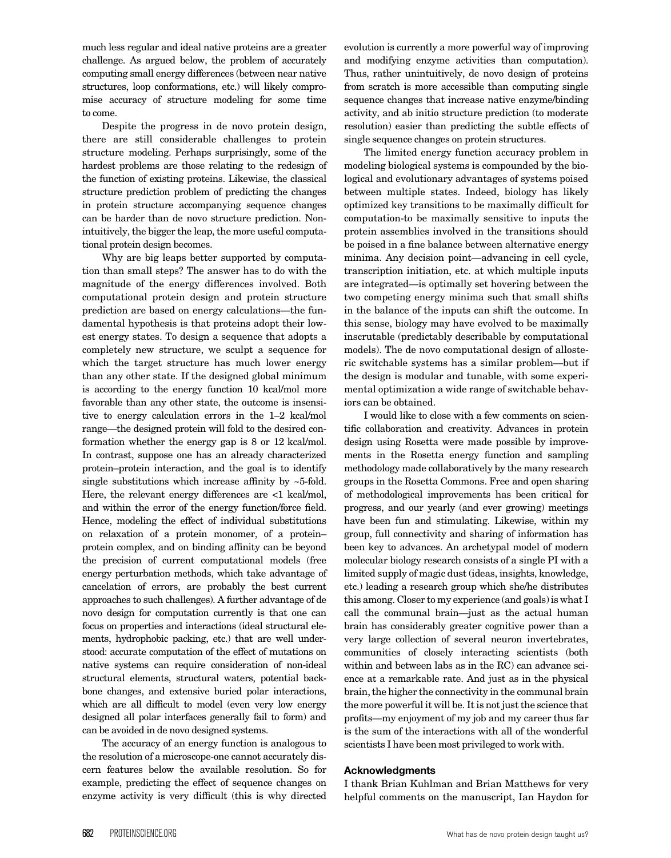much less regular and ideal native proteins are a greater challenge. As argued below, the problem of accurately computing small energy differences (between near native structures, loop conformations, etc.) will likely compromise accuracy of structure modeling for some time to come.

Despite the progress in de novo protein design, there are still considerable challenges to protein structure modeling. Perhaps surprisingly, some of the hardest problems are those relating to the redesign of the function of existing proteins. Likewise, the classical structure prediction problem of predicting the changes in protein structure accompanying sequence changes can be harder than de novo structure prediction. Nonintuitively, the bigger the leap, the more useful computational protein design becomes.

Why are big leaps better supported by computation than small steps? The answer has to do with the magnitude of the energy differences involved. Both computational protein design and protein structure prediction are based on energy calculations—the fundamental hypothesis is that proteins adopt their lowest energy states. To design a sequence that adopts a completely new structure, we sculpt a sequence for which the target structure has much lower energy than any other state. If the designed global minimum is according to the energy function 10 kcal/mol more favorable than any other state, the outcome is insensitive to energy calculation errors in the 1–2 kcal/mol range—the designed protein will fold to the desired conformation whether the energy gap is 8 or 12 kcal/mol. In contrast, suppose one has an already characterized protein–protein interaction, and the goal is to identify single substitutions which increase affinity by ~5-fold. Here, the relevant energy differences are <1 kcal/mol, and within the error of the energy function/force field. Hence, modeling the effect of individual substitutions on relaxation of a protein monomer, of a protein– protein complex, and on binding affinity can be beyond the precision of current computational models (free energy perturbation methods, which take advantage of cancelation of errors, are probably the best current approaches to such challenges). A further advantage of de novo design for computation currently is that one can focus on properties and interactions (ideal structural elements, hydrophobic packing, etc.) that are well understood: accurate computation of the effect of mutations on native systems can require consideration of non-ideal structural elements, structural waters, potential backbone changes, and extensive buried polar interactions, which are all difficult to model (even very low energy designed all polar interfaces generally fail to form) and can be avoided in de novo designed systems.

The accuracy of an energy function is analogous to the resolution of a microscope-one cannot accurately discern features below the available resolution. So for example, predicting the effect of sequence changes on enzyme activity is very difficult (this is why directed evolution is currently a more powerful way of improving and modifying enzyme activities than computation). Thus, rather unintuitively, de novo design of proteins from scratch is more accessible than computing single sequence changes that increase native enzyme/binding activity, and ab initio structure prediction (to moderate resolution) easier than predicting the subtle effects of single sequence changes on protein structures.

The limited energy function accuracy problem in modeling biological systems is compounded by the biological and evolutionary advantages of systems poised between multiple states. Indeed, biology has likely optimized key transitions to be maximally difficult for computation-to be maximally sensitive to inputs the protein assemblies involved in the transitions should be poised in a fine balance between alternative energy minima. Any decision point—advancing in cell cycle, transcription initiation, etc. at which multiple inputs are integrated—is optimally set hovering between the two competing energy minima such that small shifts in the balance of the inputs can shift the outcome. In this sense, biology may have evolved to be maximally inscrutable (predictably describable by computational models). The de novo computational design of allosteric switchable systems has a similar problem—but if the design is modular and tunable, with some experimental optimization a wide range of switchable behaviors can be obtained.

I would like to close with a few comments on scientific collaboration and creativity. Advances in protein design using Rosetta were made possible by improvements in the Rosetta energy function and sampling methodology made collaboratively by the many research groups in the Rosetta Commons. Free and open sharing of methodological improvements has been critical for progress, and our yearly (and ever growing) meetings have been fun and stimulating. Likewise, within my group, full connectivity and sharing of information has been key to advances. An archetypal model of modern molecular biology research consists of a single PI with a limited supply of magic dust (ideas, insights, knowledge, etc.) leading a research group which she/he distributes this among. Closer to my experience (and goals) is what I call the communal brain—just as the actual human brain has considerably greater cognitive power than a very large collection of several neuron invertebrates, communities of closely interacting scientists (both within and between labs as in the RC) can advance science at a remarkable rate. And just as in the physical brain, the higher the connectivity in the communal brain the more powerful it will be. It is not just the science that profits—my enjoyment of my job and my career thus far is the sum of the interactions with all of the wonderful scientists I have been most privileged to work with.

## Acknowledgments

I thank Brian Kuhlman and Brian Matthews for very helpful comments on the manuscript, Ian Haydon for